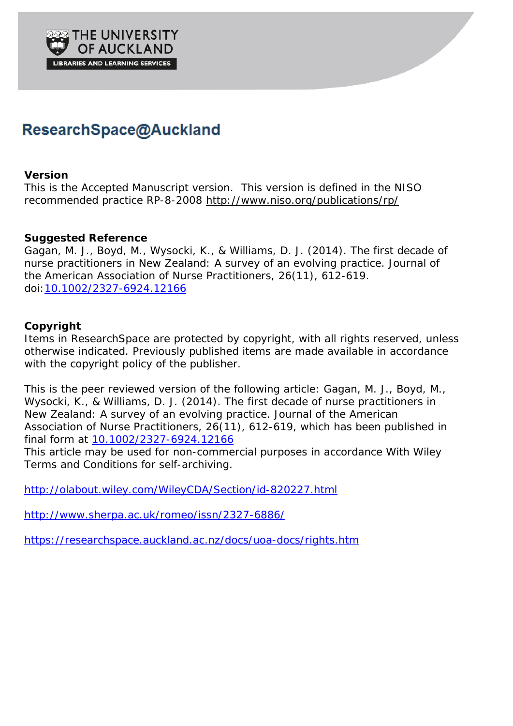

# ResearchSpace@Auckland

# **Version**

This is the Accepted Manuscript version. This version is defined in the NISO recommended practice RP-8-2008<http://www.niso.org/publications/rp/>

# **Suggested Reference**

Gagan, M. J., Boyd, M., Wysocki, K., & Williams, D. J. (2014). The first decade of nurse practitioners in New Zealand: A survey of an evolving practice. *Journal of the American Association of Nurse Practitioners*, 26(11), 612-619. doi[:10.1002/2327-6924.12166](http://dx.doi.org/10.1002/2327-6924.12166)

# **Copyright**

Items in ResearchSpace are protected by copyright, with all rights reserved, unless otherwise indicated. Previously published items are made available in accordance with the copyright policy of the publisher.

This is the peer reviewed version of the following article: Gagan, M. J., Boyd, M., Wysocki, K., & Williams, D. J. (2014). The first decade of nurse practitioners in New Zealand: A survey of an evolving practice. *Journal of the American Association of Nurse Practitioners*, 26(11), 612-619, which has been published in final form at [10.1002/2327-6924.12166](http://dx.doi.org/10.1002/2327-6924.12166)

This article may be used for non-commercial purposes in accordance With Wiley Terms and Conditions for self-archiving.

<http://olabout.wiley.com/WileyCDA/Section/id-820227.html>

<http://www.sherpa.ac.uk/romeo/issn/2327-6886/>

<https://researchspace.auckland.ac.nz/docs/uoa-docs/rights.htm>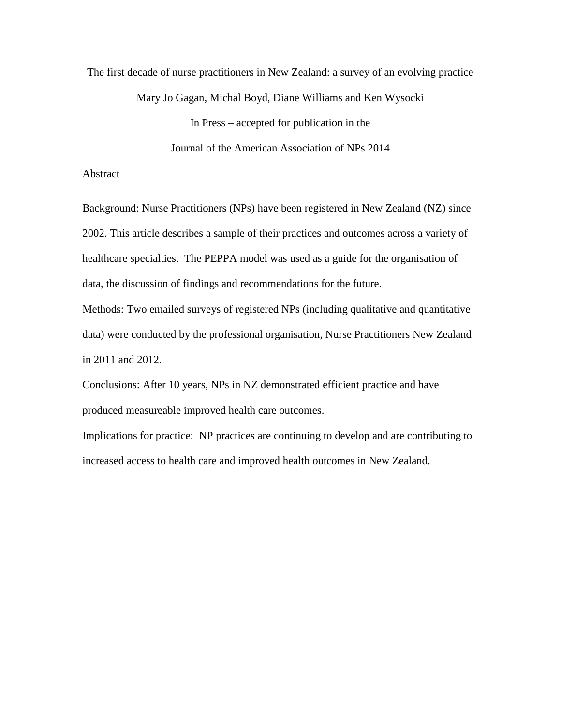The first decade of nurse practitioners in New Zealand: a survey of an evolving practice

Mary Jo Gagan, Michal Boyd, Diane Williams and Ken Wysocki

In Press – accepted for publication in the

Journal of the American Association of NPs 2014

# Abstract

Background: Nurse Practitioners (NPs) have been registered in New Zealand (NZ) since 2002. This article describes a sample of their practices and outcomes across a variety of healthcare specialties. The PEPPA model was used as a guide for the organisation of data, the discussion of findings and recommendations for the future.

Methods: Two emailed surveys of registered NPs (including qualitative and quantitative data) were conducted by the professional organisation, Nurse Practitioners New Zealand in 2011 and 2012.

Conclusions: After 10 years, NPs in NZ demonstrated efficient practice and have produced measureable improved health care outcomes.

Implications for practice: NP practices are continuing to develop and are contributing to increased access to health care and improved health outcomes in New Zealand.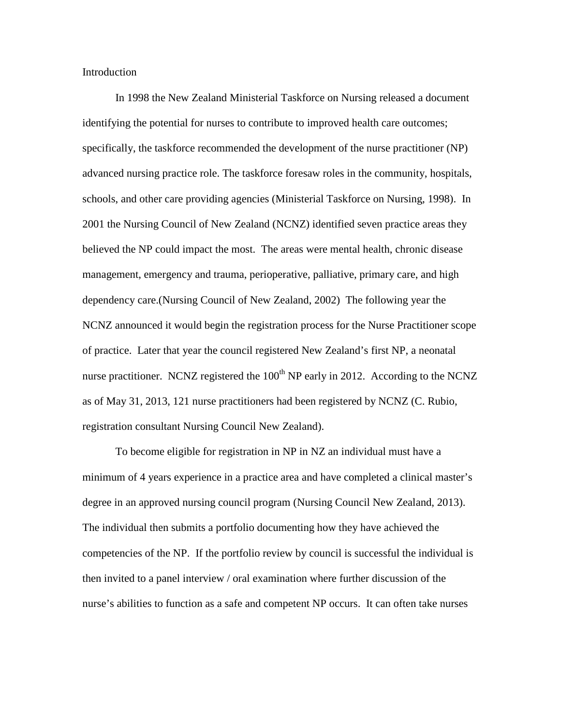Introduction

In 1998 the New Zealand Ministerial Taskforce on Nursing released a document identifying the potential for nurses to contribute to improved health care outcomes; specifically, the taskforce recommended the development of the nurse practitioner (NP) advanced nursing practice role. The taskforce foresaw roles in the community, hospitals, schools, and other care providing agencies (Ministerial Taskforce on Nursing, 1998). In 2001 the Nursing Council of New Zealand (NCNZ) identified seven practice areas they believed the NP could impact the most. The areas were mental health, chronic disease management, emergency and trauma, perioperative, palliative, primary care, and high dependency care.(Nursing Council of New Zealand, 2002) The following year the NCNZ announced it would begin the registration process for the Nurse Practitioner scope of practice. Later that year the council registered New Zealand's first NP, a neonatal nurse practitioner. NCNZ registered the  $100<sup>th</sup>$  NP early in 2012. According to the NCNZ as of May 31, 2013, 121 nurse practitioners had been registered by NCNZ (C. Rubio, registration consultant Nursing Council New Zealand).

To become eligible for registration in NP in NZ an individual must have a minimum of 4 years experience in a practice area and have completed a clinical master's degree in an approved nursing council program (Nursing Council New Zealand, 2013). The individual then submits a portfolio documenting how they have achieved the competencies of the NP. If the portfolio review by council is successful the individual is then invited to a panel interview / oral examination where further discussion of the nurse's abilities to function as a safe and competent NP occurs. It can often take nurses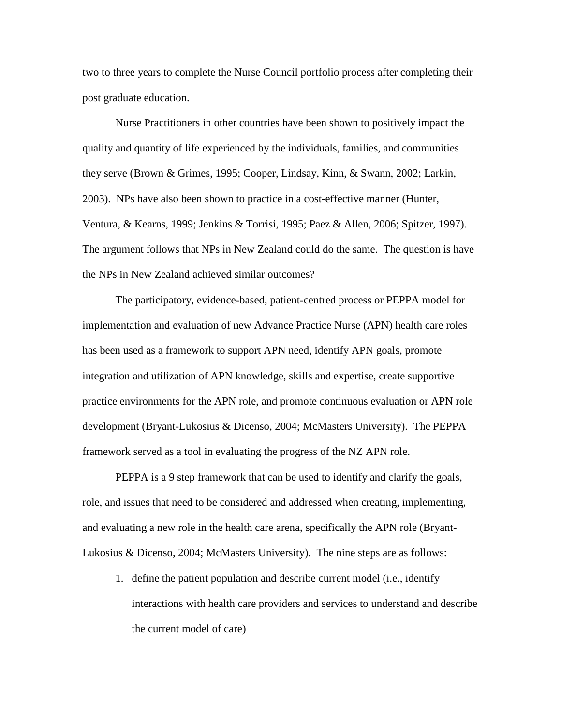two to three years to complete the Nurse Council portfolio process after completing their post graduate education.

Nurse Practitioners in other countries have been shown to positively impact the quality and quantity of life experienced by the individuals, families, and communities they serve (Brown & Grimes, 1995; Cooper, Lindsay, Kinn, & Swann, 2002; Larkin, 2003). NPs have also been shown to practice in a cost-effective manner (Hunter, Ventura, & Kearns, 1999; Jenkins & Torrisi, 1995; Paez & Allen, 2006; Spitzer, 1997). The argument follows that NPs in New Zealand could do the same. The question is have the NPs in New Zealand achieved similar outcomes?

The participatory, evidence-based, patient-centred process or PEPPA model for implementation and evaluation of new Advance Practice Nurse (APN) health care roles has been used as a framework to support APN need, identify APN goals, promote integration and utilization of APN knowledge, skills and expertise, create supportive practice environments for the APN role, and promote continuous evaluation or APN role development (Bryant-Lukosius & Dicenso, 2004; McMasters University). The PEPPA framework served as a tool in evaluating the progress of the NZ APN role.

PEPPA is a 9 step framework that can be used to identify and clarify the goals, role, and issues that need to be considered and addressed when creating, implementing, and evaluating a new role in the health care arena, specifically the APN role (Bryant-Lukosius & Dicenso, 2004; McMasters University). The nine steps are as follows:

1. define the patient population and describe current model (i.e., identify interactions with health care providers and services to understand and describe the current model of care)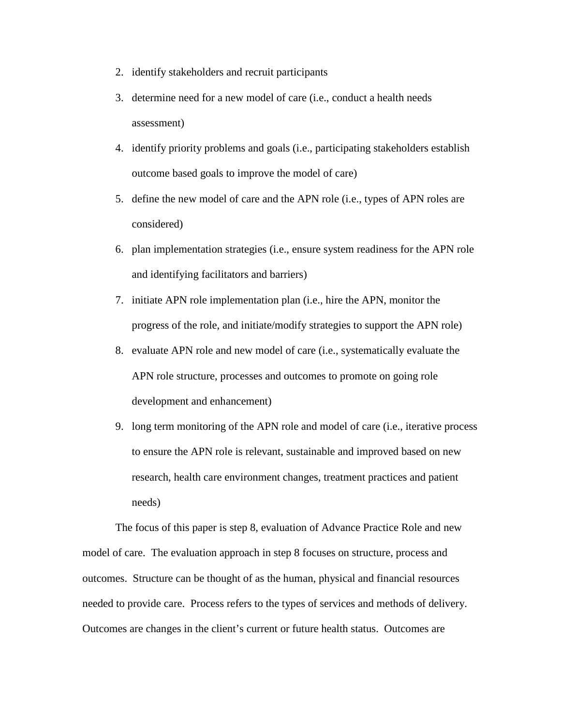- 2. identify stakeholders and recruit participants
- 3. determine need for a new model of care (i.e., conduct a health needs assessment)
- 4. identify priority problems and goals (i.e., participating stakeholders establish outcome based goals to improve the model of care)
- 5. define the new model of care and the APN role (i.e., types of APN roles are considered)
- 6. plan implementation strategies (i.e., ensure system readiness for the APN role and identifying facilitators and barriers)
- 7. initiate APN role implementation plan (i.e., hire the APN, monitor the progress of the role, and initiate/modify strategies to support the APN role)
- 8. evaluate APN role and new model of care (i.e., systematically evaluate the APN role structure, processes and outcomes to promote on going role development and enhancement)
- 9. long term monitoring of the APN role and model of care (i.e., iterative process to ensure the APN role is relevant, sustainable and improved based on new research, health care environment changes, treatment practices and patient needs)

The focus of this paper is step 8, evaluation of Advance Practice Role and new model of care. The evaluation approach in step 8 focuses on structure, process and outcomes. Structure can be thought of as the human, physical and financial resources needed to provide care. Process refers to the types of services and methods of delivery. Outcomes are changes in the client's current or future health status. Outcomes are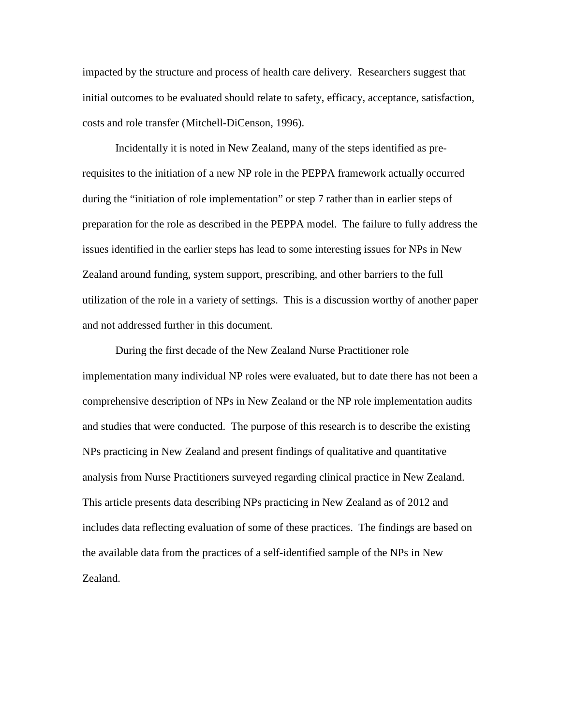impacted by the structure and process of health care delivery. Researchers suggest that initial outcomes to be evaluated should relate to safety, efficacy, acceptance, satisfaction, costs and role transfer (Mitchell-DiCenson, 1996).

Incidentally it is noted in New Zealand, many of the steps identified as prerequisites to the initiation of a new NP role in the PEPPA framework actually occurred during the "initiation of role implementation" or step 7 rather than in earlier steps of preparation for the role as described in the PEPPA model. The failure to fully address the issues identified in the earlier steps has lead to some interesting issues for NPs in New Zealand around funding, system support, prescribing, and other barriers to the full utilization of the role in a variety of settings. This is a discussion worthy of another paper and not addressed further in this document.

During the first decade of the New Zealand Nurse Practitioner role implementation many individual NP roles were evaluated, but to date there has not been a comprehensive description of NPs in New Zealand or the NP role implementation audits and studies that were conducted. The purpose of this research is to describe the existing NPs practicing in New Zealand and present findings of qualitative and quantitative analysis from Nurse Practitioners surveyed regarding clinical practice in New Zealand. This article presents data describing NPs practicing in New Zealand as of 2012 and includes data reflecting evaluation of some of these practices. The findings are based on the available data from the practices of a self-identified sample of the NPs in New Zealand.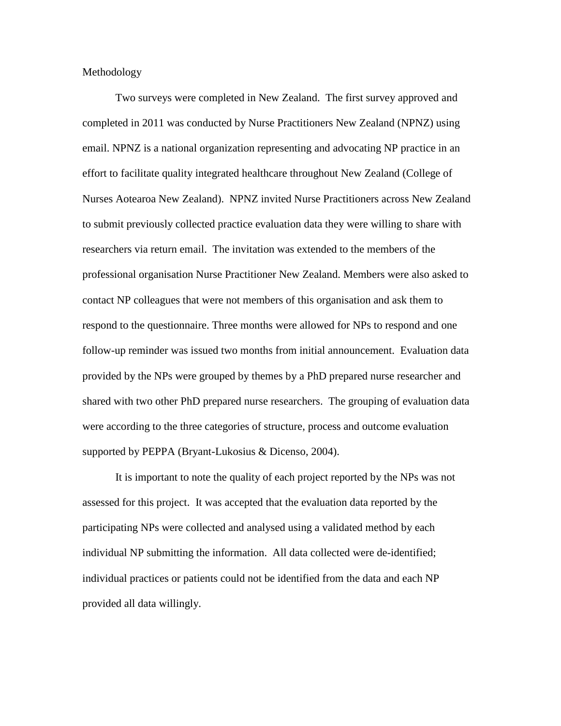Methodology

Two surveys were completed in New Zealand. The first survey approved and completed in 2011 was conducted by Nurse Practitioners New Zealand (NPNZ) using email. NPNZ is a national organization representing and advocating NP practice in an effort to facilitate quality integrated healthcare throughout New Zealand (College of Nurses Aotearoa New Zealand). NPNZ invited Nurse Practitioners across New Zealand to submit previously collected practice evaluation data they were willing to share with researchers via return email. The invitation was extended to the members of the professional organisation Nurse Practitioner New Zealand. Members were also asked to contact NP colleagues that were not members of this organisation and ask them to respond to the questionnaire. Three months were allowed for NPs to respond and one follow-up reminder was issued two months from initial announcement. Evaluation data provided by the NPs were grouped by themes by a PhD prepared nurse researcher and shared with two other PhD prepared nurse researchers. The grouping of evaluation data were according to the three categories of structure, process and outcome evaluation supported by PEPPA (Bryant-Lukosius & Dicenso, 2004).

It is important to note the quality of each project reported by the NPs was not assessed for this project. It was accepted that the evaluation data reported by the participating NPs were collected and analysed using a validated method by each individual NP submitting the information. All data collected were de-identified; individual practices or patients could not be identified from the data and each NP provided all data willingly.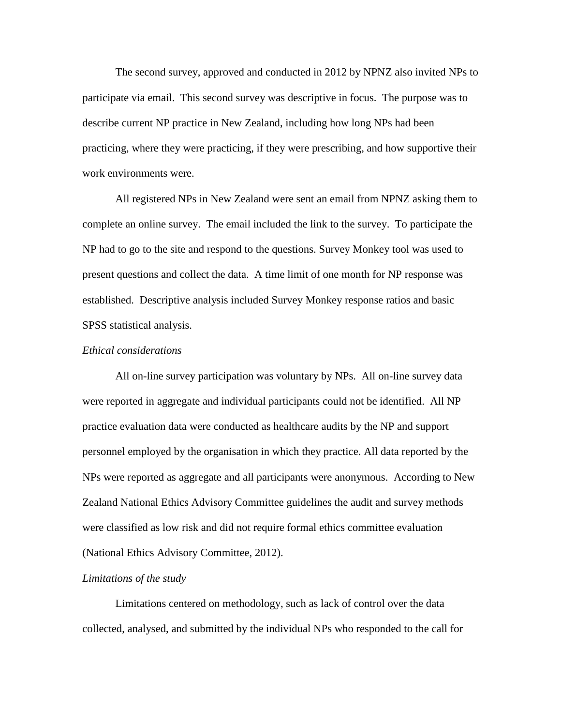The second survey, approved and conducted in 2012 by NPNZ also invited NPs to participate via email. This second survey was descriptive in focus. The purpose was to describe current NP practice in New Zealand, including how long NPs had been practicing, where they were practicing, if they were prescribing, and how supportive their work environments were.

All registered NPs in New Zealand were sent an email from NPNZ asking them to complete an online survey. The email included the link to the survey. To participate the NP had to go to the site and respond to the questions. Survey Monkey tool was used to present questions and collect the data. A time limit of one month for NP response was established. Descriptive analysis included Survey Monkey response ratios and basic SPSS statistical analysis.

## *Ethical considerations*

All on-line survey participation was voluntary by NPs. All on-line survey data were reported in aggregate and individual participants could not be identified. All NP practice evaluation data were conducted as healthcare audits by the NP and support personnel employed by the organisation in which they practice. All data reported by the NPs were reported as aggregate and all participants were anonymous. According to New Zealand National Ethics Advisory Committee guidelines the audit and survey methods were classified as low risk and did not require formal ethics committee evaluation (National Ethics Advisory Committee, 2012).

## *Limitations of the study*

Limitations centered on methodology, such as lack of control over the data collected, analysed, and submitted by the individual NPs who responded to the call for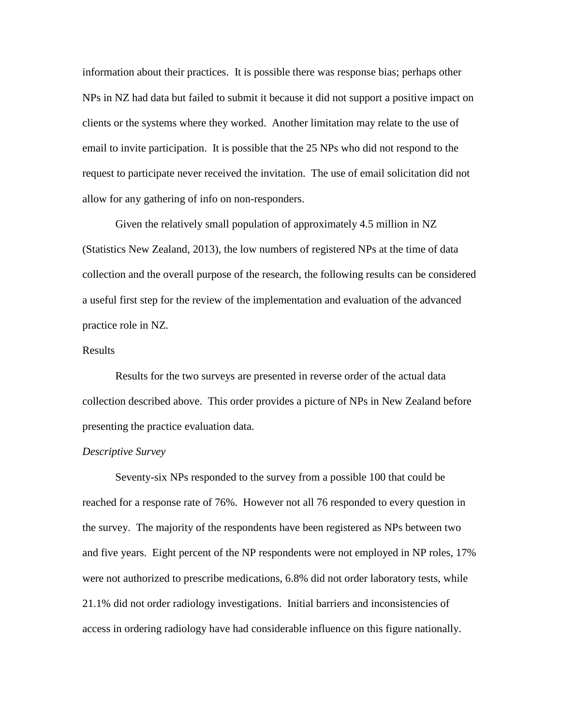information about their practices. It is possible there was response bias; perhaps other NPs in NZ had data but failed to submit it because it did not support a positive impact on clients or the systems where they worked. Another limitation may relate to the use of email to invite participation. It is possible that the 25 NPs who did not respond to the request to participate never received the invitation. The use of email solicitation did not allow for any gathering of info on non-responders.

Given the relatively small population of approximately 4.5 million in NZ (Statistics New Zealand, 2013), the low numbers of registered NPs at the time of data collection and the overall purpose of the research, the following results can be considered a useful first step for the review of the implementation and evaluation of the advanced practice role in NZ.

# Results

Results for the two surveys are presented in reverse order of the actual data collection described above. This order provides a picture of NPs in New Zealand before presenting the practice evaluation data.

#### *Descriptive Survey*

Seventy-six NPs responded to the survey from a possible 100 that could be reached for a response rate of 76%. However not all 76 responded to every question in the survey. The majority of the respondents have been registered as NPs between two and five years. Eight percent of the NP respondents were not employed in NP roles, 17% were not authorized to prescribe medications, 6.8% did not order laboratory tests, while 21.1% did not order radiology investigations. Initial barriers and inconsistencies of access in ordering radiology have had considerable influence on this figure nationally.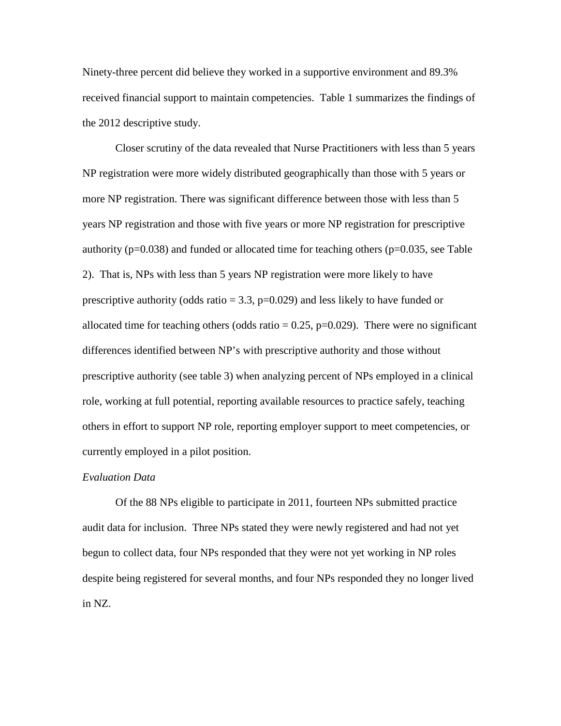Ninety-three percent did believe they worked in a supportive environment and 89.3% received financial support to maintain competencies. Table 1 summarizes the findings of the 2012 descriptive study.

Closer scrutiny of the data revealed that Nurse Practitioners with less than 5 years NP registration were more widely distributed geographically than those with 5 years or more NP registration. There was significant difference between those with less than 5 years NP registration and those with five years or more NP registration for prescriptive authority (p=0.038) and funded or allocated time for teaching others (p=0.035, see Table 2). That is, NPs with less than 5 years NP registration were more likely to have prescriptive authority (odds ratio  $= 3.3$ , p=0.029) and less likely to have funded or allocated time for teaching others (odds ratio  $= 0.25$ , p=0.029). There were no significant differences identified between NP's with prescriptive authority and those without prescriptive authority (see table 3) when analyzing percent of NPs employed in a clinical role, working at full potential, reporting available resources to practice safely, teaching others in effort to support NP role, reporting employer support to meet competencies, or currently employed in a pilot position.

#### *Evaluation Data*

Of the 88 NPs eligible to participate in 2011, fourteen NPs submitted practice audit data for inclusion. Three NPs stated they were newly registered and had not yet begun to collect data, four NPs responded that they were not yet working in NP roles despite being registered for several months, and four NPs responded they no longer lived in NZ.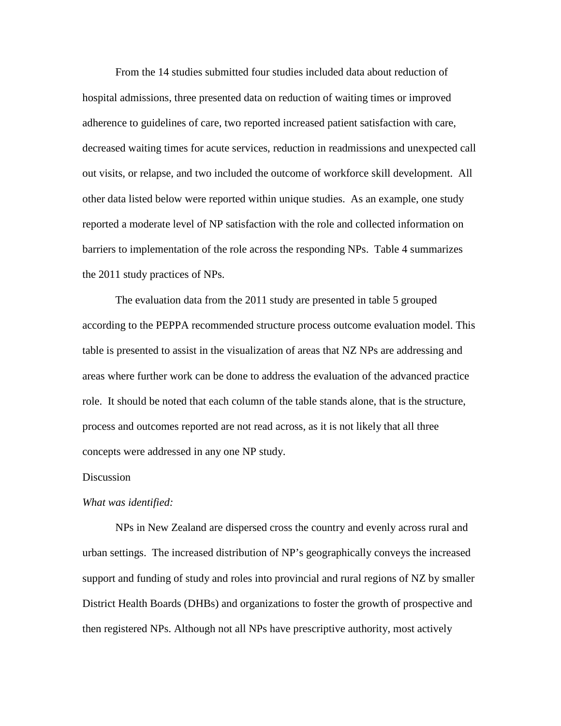From the 14 studies submitted four studies included data about reduction of hospital admissions, three presented data on reduction of waiting times or improved adherence to guidelines of care, two reported increased patient satisfaction with care, decreased waiting times for acute services, reduction in readmissions and unexpected call out visits, or relapse, and two included the outcome of workforce skill development. All other data listed below were reported within unique studies. As an example, one study reported a moderate level of NP satisfaction with the role and collected information on barriers to implementation of the role across the responding NPs. Table 4 summarizes the 2011 study practices of NPs.

The evaluation data from the 2011 study are presented in table 5 grouped according to the PEPPA recommended structure process outcome evaluation model. This table is presented to assist in the visualization of areas that NZ NPs are addressing and areas where further work can be done to address the evaluation of the advanced practice role. It should be noted that each column of the table stands alone, that is the structure, process and outcomes reported are not read across, as it is not likely that all three concepts were addressed in any one NP study.

## **Discussion**

#### *What was identified:*

NPs in New Zealand are dispersed cross the country and evenly across rural and urban settings. The increased distribution of NP's geographically conveys the increased support and funding of study and roles into provincial and rural regions of NZ by smaller District Health Boards (DHBs) and organizations to foster the growth of prospective and then registered NPs. Although not all NPs have prescriptive authority, most actively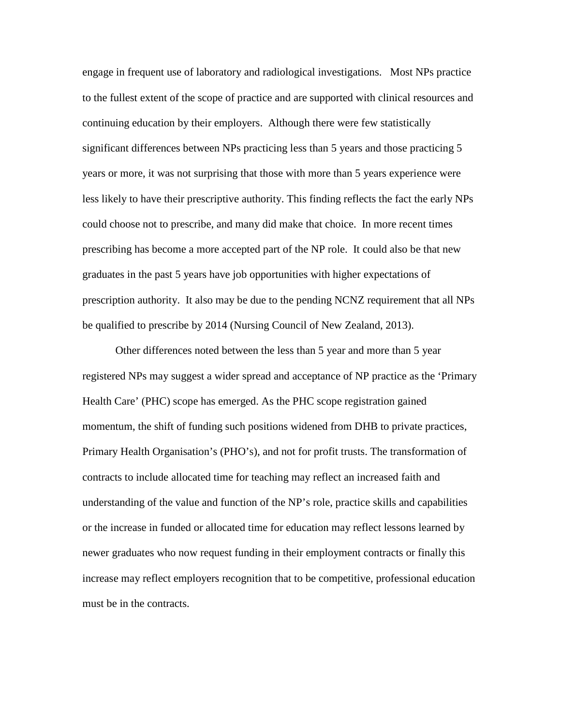engage in frequent use of laboratory and radiological investigations. Most NPs practice to the fullest extent of the scope of practice and are supported with clinical resources and continuing education by their employers. Although there were few statistically significant differences between NPs practicing less than 5 years and those practicing 5 years or more, it was not surprising that those with more than 5 years experience were less likely to have their prescriptive authority. This finding reflects the fact the early NPs could choose not to prescribe, and many did make that choice. In more recent times prescribing has become a more accepted part of the NP role. It could also be that new graduates in the past 5 years have job opportunities with higher expectations of prescription authority. It also may be due to the pending NCNZ requirement that all NPs be qualified to prescribe by 2014 (Nursing Council of New Zealand, 2013).

Other differences noted between the less than 5 year and more than 5 year registered NPs may suggest a wider spread and acceptance of NP practice as the 'Primary Health Care' (PHC) scope has emerged. As the PHC scope registration gained momentum, the shift of funding such positions widened from DHB to private practices, Primary Health Organisation's (PHO's), and not for profit trusts. The transformation of contracts to include allocated time for teaching may reflect an increased faith and understanding of the value and function of the NP's role, practice skills and capabilities or the increase in funded or allocated time for education may reflect lessons learned by newer graduates who now request funding in their employment contracts or finally this increase may reflect employers recognition that to be competitive, professional education must be in the contracts.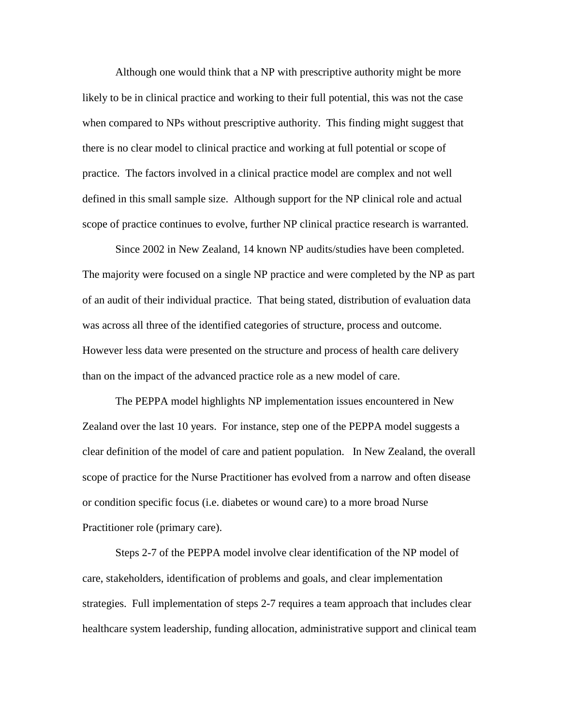Although one would think that a NP with prescriptive authority might be more likely to be in clinical practice and working to their full potential, this was not the case when compared to NPs without prescriptive authority. This finding might suggest that there is no clear model to clinical practice and working at full potential or scope of practice. The factors involved in a clinical practice model are complex and not well defined in this small sample size. Although support for the NP clinical role and actual scope of practice continues to evolve, further NP clinical practice research is warranted.

Since 2002 in New Zealand, 14 known NP audits/studies have been completed. The majority were focused on a single NP practice and were completed by the NP as part of an audit of their individual practice. That being stated, distribution of evaluation data was across all three of the identified categories of structure, process and outcome. However less data were presented on the structure and process of health care delivery than on the impact of the advanced practice role as a new model of care.

The PEPPA model highlights NP implementation issues encountered in New Zealand over the last 10 years. For instance, step one of the PEPPA model suggests a clear definition of the model of care and patient population. In New Zealand, the overall scope of practice for the Nurse Practitioner has evolved from a narrow and often disease or condition specific focus (i.e. diabetes or wound care) to a more broad Nurse Practitioner role (primary care).

Steps 2-7 of the PEPPA model involve clear identification of the NP model of care, stakeholders, identification of problems and goals, and clear implementation strategies. Full implementation of steps 2-7 requires a team approach that includes clear healthcare system leadership, funding allocation, administrative support and clinical team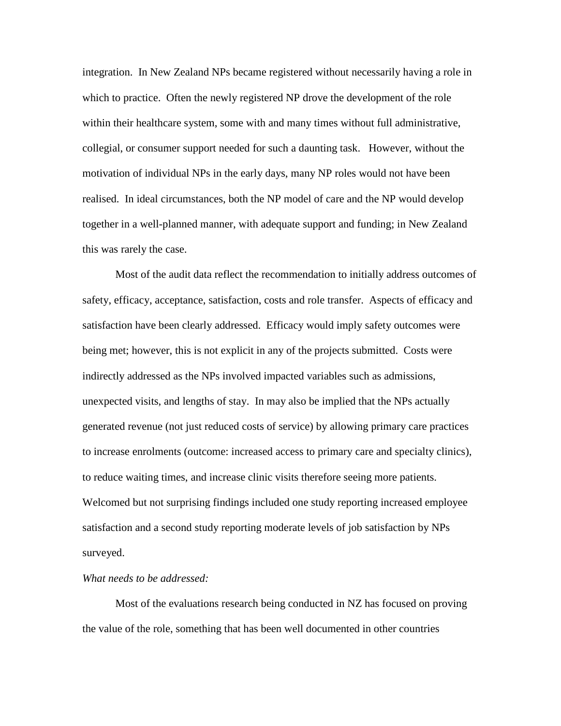integration. In New Zealand NPs became registered without necessarily having a role in which to practice. Often the newly registered NP drove the development of the role within their healthcare system, some with and many times without full administrative, collegial, or consumer support needed for such a daunting task. However, without the motivation of individual NPs in the early days, many NP roles would not have been realised. In ideal circumstances, both the NP model of care and the NP would develop together in a well-planned manner, with adequate support and funding; in New Zealand this was rarely the case.

Most of the audit data reflect the recommendation to initially address outcomes of safety, efficacy, acceptance, satisfaction, costs and role transfer. Aspects of efficacy and satisfaction have been clearly addressed. Efficacy would imply safety outcomes were being met; however, this is not explicit in any of the projects submitted. Costs were indirectly addressed as the NPs involved impacted variables such as admissions, unexpected visits, and lengths of stay. In may also be implied that the NPs actually generated revenue (not just reduced costs of service) by allowing primary care practices to increase enrolments (outcome: increased access to primary care and specialty clinics), to reduce waiting times, and increase clinic visits therefore seeing more patients. Welcomed but not surprising findings included one study reporting increased employee satisfaction and a second study reporting moderate levels of job satisfaction by NPs surveyed.

## *What needs to be addressed:*

Most of the evaluations research being conducted in NZ has focused on proving the value of the role, something that has been well documented in other countries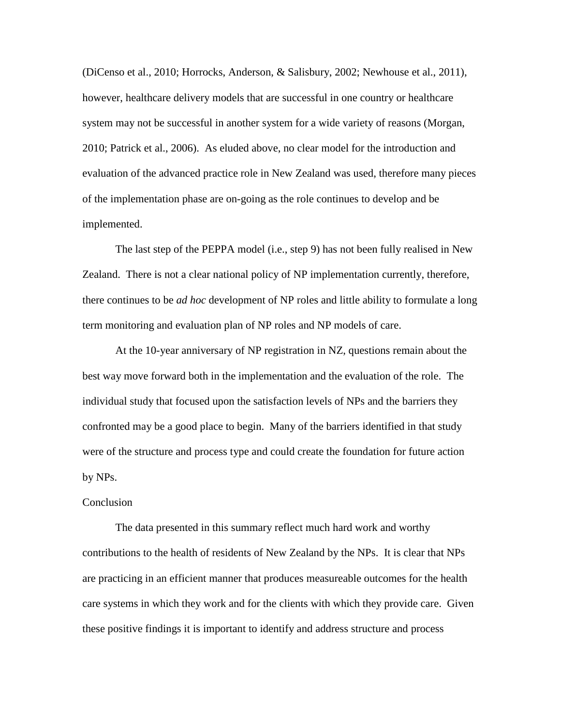(DiCenso et al., 2010; Horrocks, Anderson, & Salisbury, 2002; Newhouse et al., 2011), however, healthcare delivery models that are successful in one country or healthcare system may not be successful in another system for a wide variety of reasons (Morgan, 2010; Patrick et al., 2006). As eluded above, no clear model for the introduction and evaluation of the advanced practice role in New Zealand was used, therefore many pieces of the implementation phase are on-going as the role continues to develop and be implemented.

The last step of the PEPPA model (i.e., step 9) has not been fully realised in New Zealand. There is not a clear national policy of NP implementation currently, therefore, there continues to be *ad hoc* development of NP roles and little ability to formulate a long term monitoring and evaluation plan of NP roles and NP models of care.

At the 10-year anniversary of NP registration in NZ, questions remain about the best way move forward both in the implementation and the evaluation of the role. The individual study that focused upon the satisfaction levels of NPs and the barriers they confronted may be a good place to begin. Many of the barriers identified in that study were of the structure and process type and could create the foundation for future action by NPs.

#### Conclusion

The data presented in this summary reflect much hard work and worthy contributions to the health of residents of New Zealand by the NPs. It is clear that NPs are practicing in an efficient manner that produces measureable outcomes for the health care systems in which they work and for the clients with which they provide care. Given these positive findings it is important to identify and address structure and process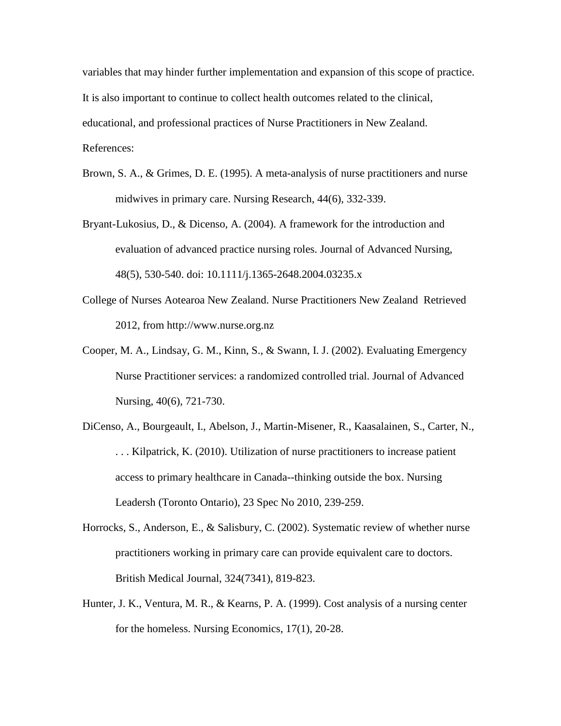variables that may hinder further implementation and expansion of this scope of practice. It is also important to continue to collect health outcomes related to the clinical, educational, and professional practices of Nurse Practitioners in New Zealand. References:

- Brown, S. A., & Grimes, D. E. (1995). A meta-analysis of nurse practitioners and nurse midwives in primary care. Nursing Research, 44(6), 332-339.
- Bryant-Lukosius, D., & Dicenso, A. (2004). A framework for the introduction and evaluation of advanced practice nursing roles. Journal of Advanced Nursing, 48(5), 530-540. doi: 10.1111/j.1365-2648.2004.03235.x
- College of Nurses Aotearoa New Zealand. Nurse Practitioners New Zealand Retrieved 2012, from http://www.nurse.org.nz
- Cooper, M. A., Lindsay, G. M., Kinn, S., & Swann, I. J. (2002). Evaluating Emergency Nurse Practitioner services: a randomized controlled trial. Journal of Advanced Nursing, 40(6), 721-730.
- DiCenso, A., Bourgeault, I., Abelson, J., Martin-Misener, R., Kaasalainen, S., Carter, N., . . . Kilpatrick, K. (2010). Utilization of nurse practitioners to increase patient access to primary healthcare in Canada--thinking outside the box. Nursing Leadersh (Toronto Ontario), 23 Spec No 2010, 239-259.
- Horrocks, S., Anderson, E., & Salisbury, C. (2002). Systematic review of whether nurse practitioners working in primary care can provide equivalent care to doctors. British Medical Journal, 324(7341), 819-823.
- Hunter, J. K., Ventura, M. R., & Kearns, P. A. (1999). Cost analysis of a nursing center for the homeless. Nursing Economics, 17(1), 20-28.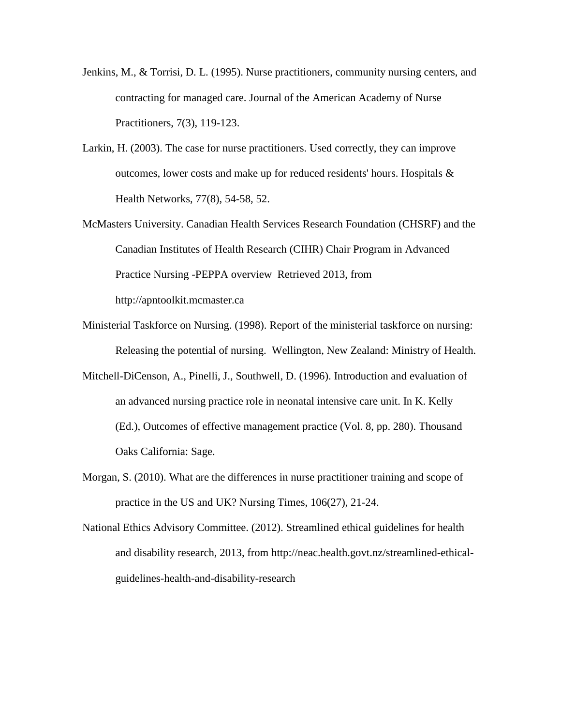- Jenkins, M., & Torrisi, D. L. (1995). Nurse practitioners, community nursing centers, and contracting for managed care. Journal of the American Academy of Nurse Practitioners, 7(3), 119-123.
- Larkin, H. (2003). The case for nurse practitioners. Used correctly, they can improve outcomes, lower costs and make up for reduced residents' hours. Hospitals & Health Networks, 77(8), 54-58, 52.
- McMasters University. Canadian Health Services Research Foundation (CHSRF) and the Canadian Institutes of Health Research (CIHR) Chair Program in Advanced Practice Nursing -PEPPA overview Retrieved 2013, from http://apntoolkit.mcmaster.ca
- Ministerial Taskforce on Nursing. (1998). Report of the ministerial taskforce on nursing: Releasing the potential of nursing. Wellington, New Zealand: Ministry of Health.
- Mitchell-DiCenson, A., Pinelli, J., Southwell, D. (1996). Introduction and evaluation of an advanced nursing practice role in neonatal intensive care unit. In K. Kelly (Ed.), Outcomes of effective management practice (Vol. 8, pp. 280). Thousand Oaks California: Sage.
- Morgan, S. (2010). What are the differences in nurse practitioner training and scope of practice in the US and UK? Nursing Times, 106(27), 21-24.
- National Ethics Advisory Committee. (2012). Streamlined ethical guidelines for health and disability research, 2013, from http://neac.health.govt.nz/streamlined-ethicalguidelines-health-and-disability-research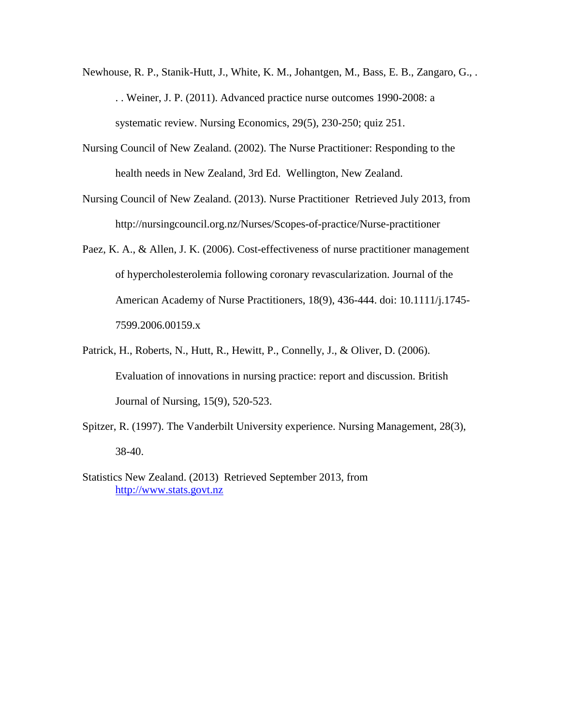- Newhouse, R. P., Stanik-Hutt, J., White, K. M., Johantgen, M., Bass, E. B., Zangaro, G., . . . Weiner, J. P. (2011). Advanced practice nurse outcomes 1990-2008: a systematic review. Nursing Economics, 29(5), 230-250; quiz 251.
- Nursing Council of New Zealand. (2002). The Nurse Practitioner: Responding to the health needs in New Zealand, 3rd Ed. Wellington, New Zealand.
- Nursing Council of New Zealand. (2013). Nurse Practitioner Retrieved July 2013, from http://nursingcouncil.org.nz/Nurses/Scopes-of-practice/Nurse-practitioner
- Paez, K. A., & Allen, J. K. (2006). Cost-effectiveness of nurse practitioner management of hypercholesterolemia following coronary revascularization. Journal of the American Academy of Nurse Practitioners, 18(9), 436-444. doi: 10.1111/j.1745- 7599.2006.00159.x
- Patrick, H., Roberts, N., Hutt, R., Hewitt, P., Connelly, J., & Oliver, D. (2006). Evaluation of innovations in nursing practice: report and discussion. British Journal of Nursing, 15(9), 520-523.
- Spitzer, R. (1997). The Vanderbilt University experience. Nursing Management, 28(3), 38-40.
- Statistics New Zealand. (2013) Retrieved September 2013, from [http://www.stats.govt.nz](http://www.stats.govt.nz/)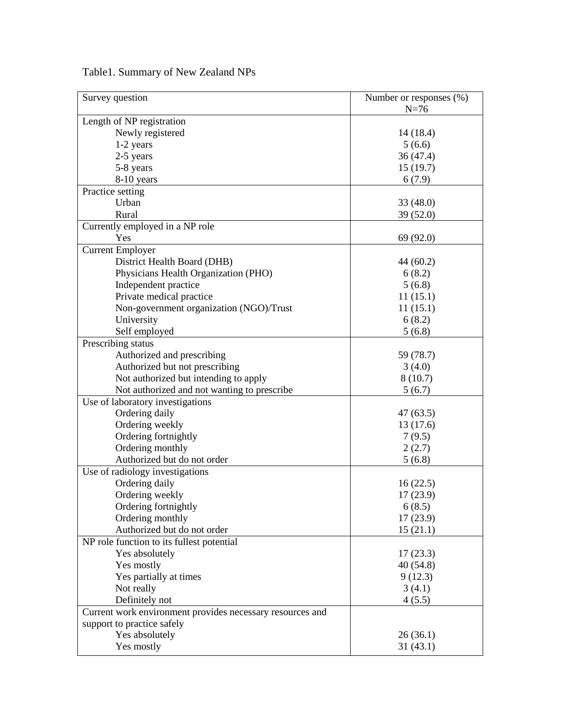| Table 1. Summary of New Zealand NPs |  |  |
|-------------------------------------|--|--|
|                                     |  |  |

| Survey question                                           | Number or responses (%) |
|-----------------------------------------------------------|-------------------------|
|                                                           | $N=76$                  |
| Length of NP registration                                 |                         |
| Newly registered                                          | 14(18.4)                |
| 1-2 years                                                 | 5(6.6)                  |
| 2-5 years                                                 | 36(47.4)                |
| 5-8 years                                                 | 15(19.7)                |
| 8-10 years                                                | 6(7.9)                  |
| Practice setting                                          |                         |
| Urban                                                     | 33 (48.0)               |
| Rural                                                     | 39 (52.0)               |
| Currently employed in a NP role                           |                         |
| Yes                                                       | 69 (92.0)               |
| <b>Current Employer</b>                                   |                         |
| District Health Board (DHB)                               | 44 (60.2)               |
| Physicians Health Organization (PHO)                      | 6(8.2)                  |
| Independent practice                                      | 5(6.8)                  |
| Private medical practice                                  | 11(15.1)                |
| Non-government organization (NGO)/Trust                   | 11(15.1)                |
| University                                                | 6(8.2)                  |
| Self employed                                             | 5(6.8)                  |
| Prescribing status                                        |                         |
| Authorized and prescribing                                | 59 (78.7)               |
| Authorized but not prescribing                            | 3(4.0)                  |
|                                                           |                         |
| Not authorized but intending to apply                     | 8(10.7)<br>5(6.7)       |
| Not authorized and not wanting to prescribe               |                         |
| Use of laboratory investigations                          |                         |
| Ordering daily                                            | 47 (63.5)               |
| Ordering weekly                                           | 13(17.6)                |
| Ordering fortnightly                                      | 7(9.5)                  |
| Ordering monthly                                          | 2(2.7)                  |
| Authorized but do not order                               | 5(6.8)                  |
| Use of radiology investigations                           |                         |
| Ordering daily                                            | 16(22.5)                |
| Ordering weekly                                           | 17(23.9)                |
| Ordering fortnightly                                      | 6(8.5)                  |
| Ordering monthly                                          | 17(23.9)                |
| Authorized but do not order                               | 15(21.1)                |
| NP role function to its fullest potential                 |                         |
| Yes absolutely                                            | 17(23.3)                |
| Yes mostly                                                | 40(54.8)                |
| Yes partially at times                                    | 9(12.3)                 |
| Not really                                                | 3(4.1)                  |
| Definitely not                                            | 4(5.5)                  |
| Current work environment provides necessary resources and |                         |
| support to practice safely                                |                         |
| Yes absolutely                                            | 26(36.1)                |
| Yes mostly                                                | 31(43.1)                |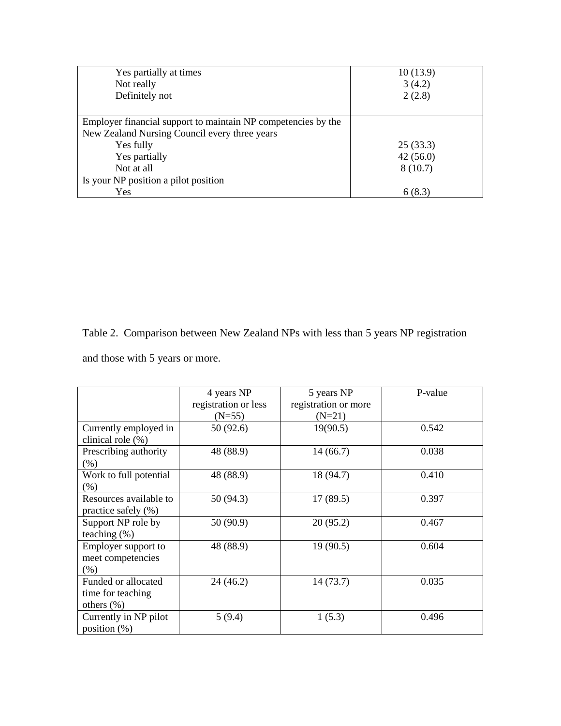| Yes partially at times                                        | 10(13.9) |
|---------------------------------------------------------------|----------|
| Not really                                                    | 3(4.2)   |
| Definitely not                                                | 2(2.8)   |
|                                                               |          |
| Employer financial support to maintain NP competencies by the |          |
| New Zealand Nursing Council every three years                 |          |
| Yes fully                                                     | 25(33.3) |
| Yes partially                                                 | 42(56.0) |
| Not at all                                                    | 8(10.7)  |
| Is your NP position a pilot position                          |          |
| Yes                                                           | 6 (8.3)  |

Table 2. Comparison between New Zealand NPs with less than 5 years NP registration

and those with 5 years or more.

|                        | 4 years NP           | 5 years NP           | P-value |
|------------------------|----------------------|----------------------|---------|
|                        | registration or less | registration or more |         |
|                        | $(N=55)$             | $(N=21)$             |         |
| Currently employed in  | 50 (92.6)            | 19(90.5)             | 0.542   |
| clinical role $(\%)$   |                      |                      |         |
| Prescribing authority  | 48 (88.9)            | 14(66.7)             | 0.038   |
| (% )                   |                      |                      |         |
| Work to full potential | 48 (88.9)            | 18 (94.7)            | 0.410   |
| (% )                   |                      |                      |         |
| Resources available to | 50(94.3)             | 17(89.5)             | 0.397   |
| practice safely (%)    |                      |                      |         |
| Support NP role by     | 50 (90.9)            | 20(95.2)             | 0.467   |
| teaching $(\%)$        |                      |                      |         |
| Employer support to    | 48 (88.9)            | 19(90.5)             | 0.604   |
| meet competencies      |                      |                      |         |
| (% )                   |                      |                      |         |
| Funded or allocated    | 24 (46.2)            | 14(73.7)             | 0.035   |
| time for teaching      |                      |                      |         |
| others $(\%)$          |                      |                      |         |
| Currently in NP pilot  | 5(9.4)               | 1(5.3)               | 0.496   |
| position $(\%)$        |                      |                      |         |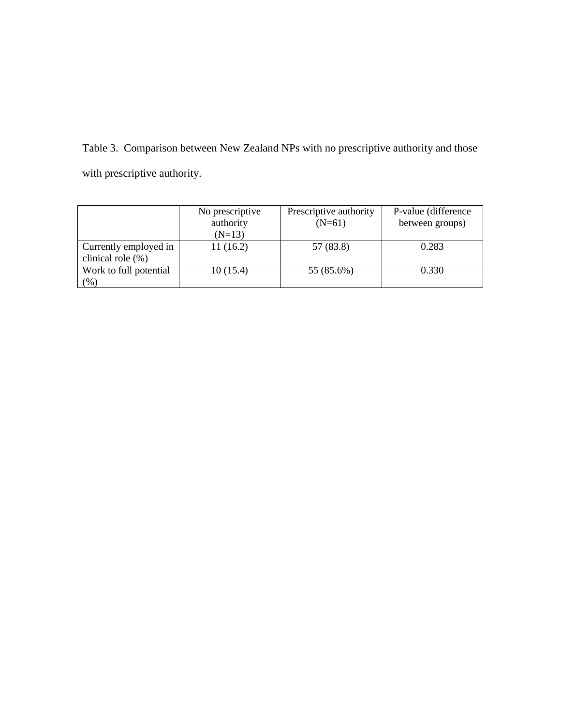Table 3. Comparison between New Zealand NPs with no prescriptive authority and those with prescriptive authority.

|                        | No prescriptive | Prescriptive authority | P-value (difference) |
|------------------------|-----------------|------------------------|----------------------|
|                        | authority       | $(N=61)$               | between groups)      |
|                        | $(N=13)$        |                        |                      |
| Currently employed in  | 11(16.2)        | 57 (83.8)              | 0.283                |
| clinical role $(\% )$  |                 |                        |                      |
| Work to full potential | 10(15.4)        | 55 (85.6%)             | 0.330                |
| (% )                   |                 |                        |                      |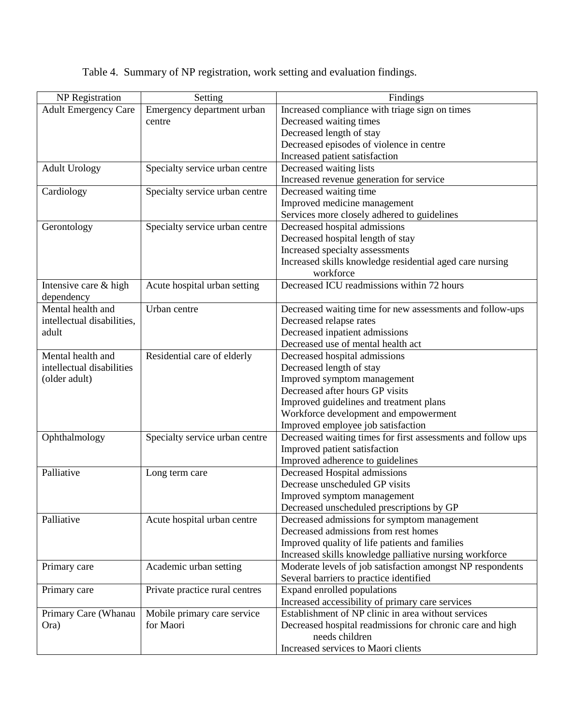|  |  | Table 4. Summary of NP registration, work setting and evaluation findings. |  |  |
|--|--|----------------------------------------------------------------------------|--|--|
|  |  |                                                                            |  |  |

| <b>NP</b> Registration      | Setting                        | Findings                                                     |  |
|-----------------------------|--------------------------------|--------------------------------------------------------------|--|
| <b>Adult Emergency Care</b> | Emergency department urban     | Increased compliance with triage sign on times               |  |
|                             | centre                         | Decreased waiting times                                      |  |
|                             |                                | Decreased length of stay                                     |  |
|                             |                                | Decreased episodes of violence in centre                     |  |
|                             |                                | Increased patient satisfaction                               |  |
| <b>Adult Urology</b>        | Specialty service urban centre | Decreased waiting lists                                      |  |
|                             |                                | Increased revenue generation for service                     |  |
| Cardiology                  | Specialty service urban centre | Decreased waiting time                                       |  |
|                             |                                | Improved medicine management                                 |  |
|                             |                                | Services more closely adhered to guidelines                  |  |
| Gerontology                 | Specialty service urban centre | Decreased hospital admissions                                |  |
|                             |                                | Decreased hospital length of stay                            |  |
|                             |                                | Increased specialty assessments                              |  |
|                             |                                | Increased skills knowledge residential aged care nursing     |  |
|                             |                                | workforce                                                    |  |
| Intensive care & high       | Acute hospital urban setting   | Decreased ICU readmissions within 72 hours                   |  |
| dependency                  |                                |                                                              |  |
| Mental health and           | Urban centre                   | Decreased waiting time for new assessments and follow-ups    |  |
| intellectual disabilities,  |                                | Decreased relapse rates                                      |  |
| adult                       |                                | Decreased inpatient admissions                               |  |
|                             |                                | Decreased use of mental health act                           |  |
| Mental health and           | Residential care of elderly    | Decreased hospital admissions                                |  |
| intellectual disabilities   |                                | Decreased length of stay                                     |  |
| (older adult)               |                                | Improved symptom management                                  |  |
|                             |                                | Decreased after hours GP visits                              |  |
|                             |                                |                                                              |  |
|                             |                                | Improved guidelines and treatment plans                      |  |
|                             |                                | Workforce development and empowerment                        |  |
|                             |                                | Improved employee job satisfaction                           |  |
| Ophthalmology               | Specialty service urban centre | Decreased waiting times for first assessments and follow ups |  |
|                             |                                | Improved patient satisfaction                                |  |
|                             |                                | Improved adherence to guidelines                             |  |
| Palliative                  | Long term care                 | Decreased Hospital admissions                                |  |
|                             |                                | Decrease unscheduled GP visits                               |  |
|                             |                                | Improved symptom management                                  |  |
|                             |                                | Decreased unscheduled prescriptions by GP                    |  |
| Palliative                  | Acute hospital urban centre    | Decreased admissions for symptom management                  |  |
|                             |                                | Decreased admissions from rest homes                         |  |
|                             |                                | Improved quality of life patients and families               |  |
|                             |                                | Increased skills knowledge palliative nursing workforce      |  |
| Primary care                | Academic urban setting         | Moderate levels of job satisfaction amongst NP respondents   |  |
|                             |                                | Several barriers to practice identified                      |  |
| Primary care                | Private practice rural centres | Expand enrolled populations                                  |  |
|                             |                                | Increased accessibility of primary care services             |  |
| Primary Care (Whanau        | Mobile primary care service    | Establishment of NP clinic in area without services          |  |
| Ora)                        | for Maori                      | Decreased hospital readmissions for chronic care and high    |  |
|                             |                                | needs children                                               |  |
|                             |                                | Increased services to Maori clients                          |  |